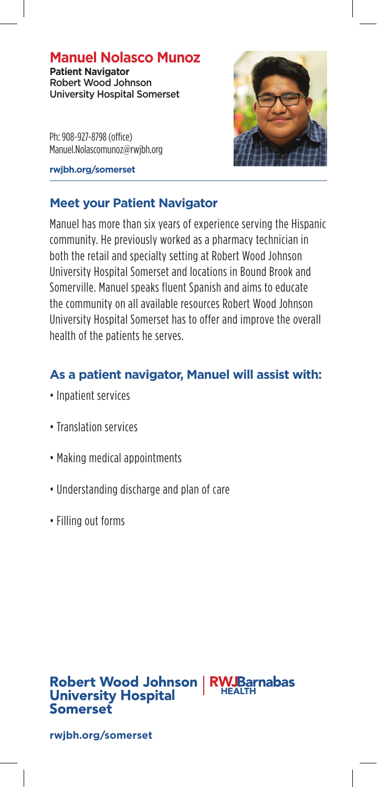# **Manuel Nolasco Munoz**

**Patient Navigator**  Robert Wood Johnson University Hospital Somerset

Ph: 908-927-8798 (office) Manuel.Nolascomunoz@rwjbh.org

**rwjbh.org/somerset**



### **Meet your Patient Navigator**

Manuel has more than six years of experience serving the Hispanic community. He previously worked as a pharmacy technician in both the retail and specialty setting at Robert Wood Johnson University Hospital Somerset and locations in Bound Brook and Somerville. Manuel speaks fluent Spanish and aims to educate the community on all available resources Robert Wood Johnson University Hospital Somerset has to offer and improve the overall health of the patients he serves.

# **As a patient navigator, Manuel will assist with:**

- Inpatient services
- Translation services
- Making medical appointments
- Understanding discharge and plan of care
- Filling out forms

#### **RWJBarnabas** Robert Wood Johnson **University Hospital Somerset**

**rwjbh.org/somerset**